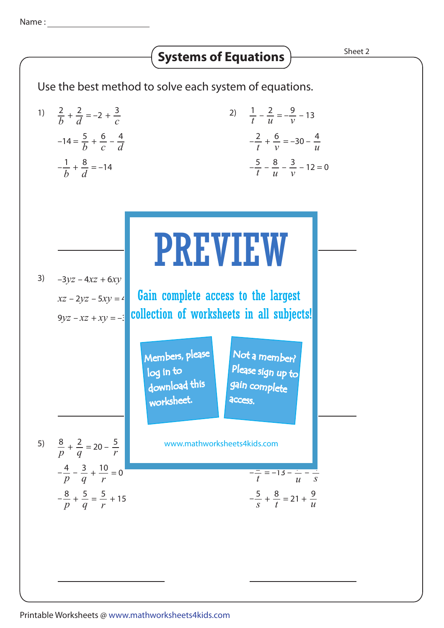